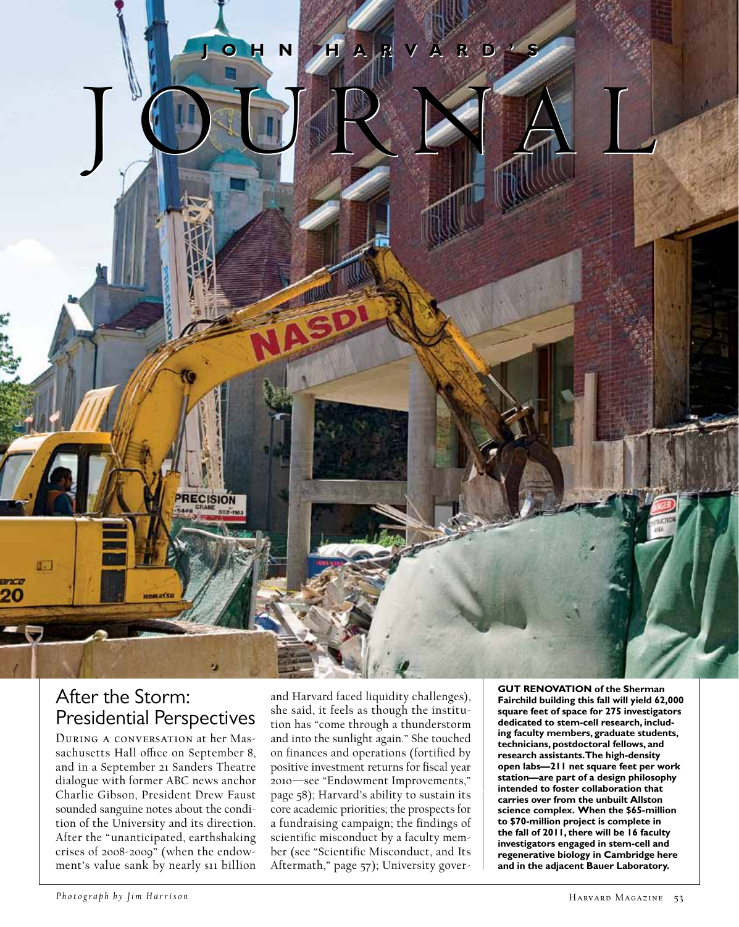

## After the Storm: Presidential Perspectives

During a conversation at her Massachusetts Hall office on September 8, and in a September 21 Sanders Theatre dialogue with former ABC news anchor Charlie Gibson, President Drew Faust sounded sanguine notes about the condition of the University and its direction. After the " unanticipated, earthshaking crises of 2008-2009" (when the endowment's value sank by nearly s11 billion

and Harvard faced liquidity challenges), she said, it feels as though the institution has "come through a thunderstorm and into the sunlight again." She touched on finances and operations (fortified by positive investment returns for fiscal year 2010—see "Endowment Improvements," page 58); Harvard's ability to sustain its core academic priorities; the prospects for a fundraising campaign; the findings of scientific misconduct by a faculty member (see "Scientific Misconduct, and Its Aftermath," page 57); University gover**GUT RENOVATION of the Sherman Fairchild building this fall will yield 62,000 square feet of space for 275 investigators dedicated to stem-cell research, including faculty members, graduate students, technicians, postdoctoral fellows, and research assistants. The high-density open labs—211 net square feet per work station—are part of a design philosophy intended to foster collaboration that carries over from the unbuilt Allston science complex. When the \$65-million to \$70-million project is complete in the fall of 2011, there will be 16 faculty investigators engaged in stem-cell and regenerative biology in Cambridge here and in the adjacent Bauer Laboratory.**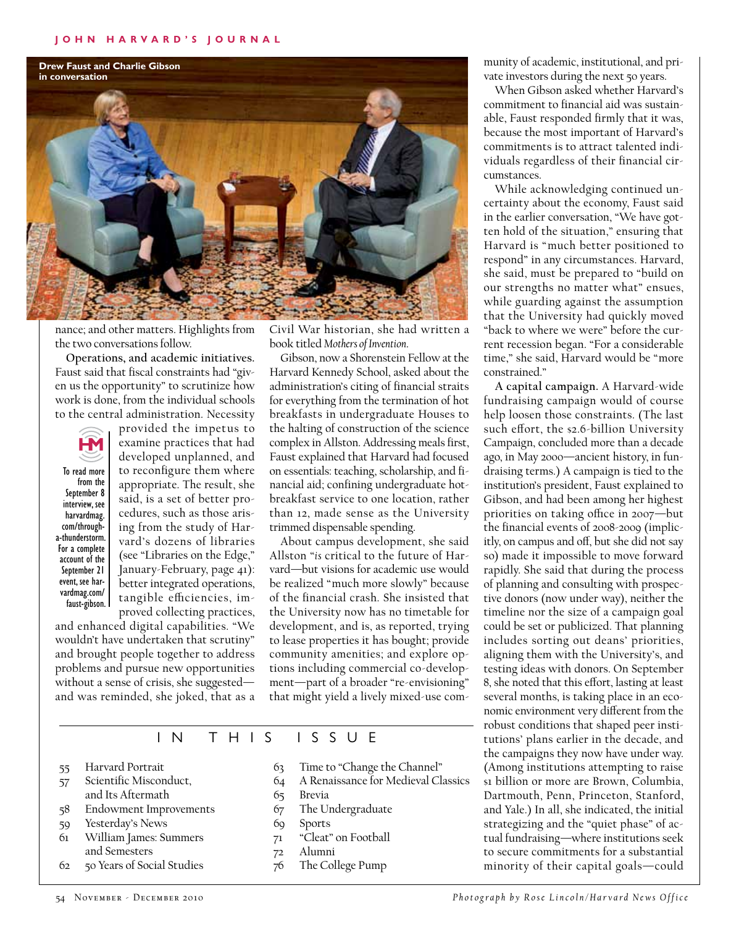

nance; and other matters. Highlights from the two conversations follow.

**Operations, and academic initiatives.** Faust said that fiscal constraints had "given us the opportunity" to scrutinize how work is done, from the individual schools to the central administration. Necessity

provided the impetus to



examine practices that had developed unplanned, and to reconfigure them where appropriate. The result, she said, is a set of better procedures, such as those arising from the study of Harvard's dozens of libraries (see "Libraries on the Edge," January-February, page 41): better integrated operations, tangible efficiencies, improved collecting practices, To read more from the September 8 interview, see harvardmag. com/througha-thunderstorm. For a complete account of the September 21 event, see harvardmag.com/ faust-gibson.

and enhanced digital capabilities. "We wouldn't have undertaken that scrutiny" and brought people together to address problems and pursue new opportunities without a sense of crisis, she suggested and was reminded, she joked, that as a Civil War historian, she had written a book titled *Mothers of Invention*.

Gibson, now a Shorenstein Fellow at the Harvard Kennedy School, asked about the administration's citing of financial straits for everything from the termination of hot breakfasts in undergraduate Houses to the halting of construction of the science complex in Allston. Addressing meals first, Faust explained that Harvard had focused on essentials: teaching, scholarship, and financial aid; confining undergraduate hotbreakfast service to one location, rather than 12, made sense as the University trimmed dispensable spending.

About campus development, she said Allston "*is* critical to the future of Harvard—but visions for academic use would be realized "much more slowly" because of the financial crash. She insisted that the University now has no timetable for development, and is, as reported, trying to lease properties it has bought; provide community amenities; and explore options including commercial co-development—part of a broader "re-envisioning" that might yield a lively mixed-use com-

In th is I ss u e

- 55 Harvard Portrait
- 57 Scientific Misconduct, and Its Aftermath
- 58 Endowment Improvements
- 59 Yesterday's News
- 61 William James: Summers and Semesters
- 62 50 Years of Social Studies
- 63 Time to "Change the Channel"
- 64 A Renaissance for Medieval Classics
- 65 Brevia
- 67 The Undergraduate
- 69 Sports
- 71 "Cleat" on Football
- 72 Alumni
- 76 The College Pump

munity of academic, institutional, and private investors during the next 50 years.

When Gibson asked whether Harvard's commitment to financial aid was sustainable, Faust responded firmly that it was, because the most important of Harvard's commitments is to attract talented individuals regardless of their financial circumstances.

While acknowledging continued uncertainty about the economy, Faust said in the earlier conversation, "We have gotten hold of the situation," ensuring that Harvard is "much better positioned to respond" in any circumstances. Harvard, she said, must be prepared to "build on our strengths no matter what" ensues, while guarding against the assumption that the University had quickly moved "back to where we were" before the current recession began. "For a considerable time," she said, Harvard would be "more constrained."

**A capital campaign.** A Harvard-wide fundraising campaign would of course help loosen those constraints. (The last such effort, the \$2.6-billion University Campaign, concluded more than a decade ago, in May 2000—ancient history, in fundraising terms.) A campaign is tied to the institution's president, Faust explained to Gibson, and had been among her highest priorities on taking office in 2007—but the financial events of 2008-2009 (implicitly, on campus and off, but she did not say so) made it impossible to move forward rapidly. She said that during the process of planning and consulting with prospective donors (now under way), neither the timeline nor the size of a campaign goal could be set or publicized. That planning includes sorting out deans' priorities, aligning them with the University's, and testing ideas with donors. On September 8, she noted that this effort, lasting at least several months, is taking place in an economic environment very different from the robust conditions that shaped peer institutions' plans earlier in the decade, and the campaigns they now have under way. (Among institutions attempting to raise \$1 billion or more are Brown, Columbia, Dartmouth, Penn, Princeton, Stanford, and Yale.) In all, she indicated, the initial strategizing and the "quiet phase" of actual fundraising—where institutions seek to secure commitments for a substantial minority of their capital goals—could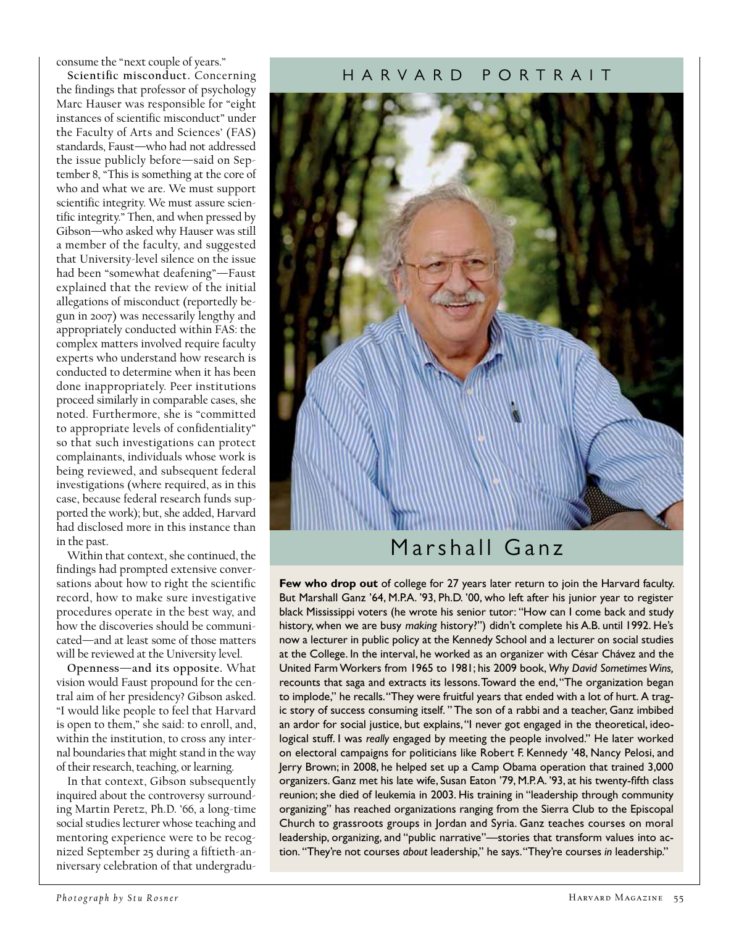consume the "next couple of years."

**Scientific misconduct.** Concerning the findings that professor of psychology Marc Hauser was responsible for "eight instances of scientific misconduct" under the Faculty of Arts and Sciences' (FAS) standards, Faust—who had not addressed the issue publicly before—said on September 8, "This is something at the core of who and what we are. We must support scientific integrity. We must assure scientific integrity." Then, and when pressed by Gibson—who asked why Hauser was still a member of the faculty, and suggested that University-level silence on the issue had been "somewhat deafening"—Faust explained that the review of the initial allegations of misconduct (reportedly begun in 2007) was necessarily lengthy and appropriately conducted within FAS: the complex matters involved require faculty experts who understand how research is conducted to determine when it has been done inappropriately. Peer institutions proceed similarly in comparable cases, she noted. Furthermore, she is "committed to appropriate levels of confidentiality" so that such investigations can protect complainants, individuals whose work is being reviewed, and subsequent federal investigations (where required, as in this case, because federal research funds supported the work); but, she added, Harvard had disclosed more in this instance than in the past.

Within that context, she continued, the findings had prompted extensive conversations about how to right the scientific record, how to make sure investigative procedures operate in the best way, and how the discoveries should be communicated—and at least some of those matters will be reviewed at the University level.

**Openness—and its opposite.** What vision would Faust propound for the central aim of her presidency? Gibson asked. "I would like people to feel that Harvard is open to them," she said: to enroll, and, within the institution, to cross any internal boundaries that might stand in the way of their research, teaching, or learning.

In that context, Gibson subsequently inquired about the controversy surrounding Martin Peretz, Ph.D. '66, a long-time social studies lecturer whose teaching and mentoring experience were to be recognized September 25 during a fiftieth-anniversary celebration of that undergradu

### h a r v a rd p ortr ai t



**Few who drop out** of college for 27 years later return to join the Harvard faculty. But Marshall Ganz '64, M.P.A. '93, Ph.D. '00, who left after his junior year to register black Mississippi voters (he wrote his senior tutor: "How can I come back and study history, when we are busy *making* history?") didn't complete his A.B. until 1992. He's now a lecturer in public policy at the Kennedy School and a lecturer on social studies at the College. In the interval, he worked as an organizer with César Chávez and the United Farm Workers from 1965 to 1981; his 2009 book, *Why David Sometimes Wins,* recounts that saga and extracts its lessons. Toward the end, "The organization began to implode," he recalls. "They were fruitful years that ended with a lot of hurt. A tragic story of success consuming itself. " The son of a rabbi and a teacher, Ganz imbibed an ardor for social justice, but explains, "I never got engaged in the theoretical, ideological stuff. I was *really* engaged by meeting the people involved." He later worked on electoral campaigns for politicians like Robert F. Kennedy '48, Nancy Pelosi, and Jerry Brown; in 2008, he helped set up a Camp Obama operation that trained 3,000 organizers. Ganz met his late wife, Susan Eaton '79, M.P.A. '93, at his twenty-fifth class reunion; she died of leukemia in 2003. His training in "leadership through community organizing" has reached organizations ranging from the Sierra Club to the Episcopal Church to grassroots groups in Jordan and Syria. Ganz teaches courses on moral leadership, organizing, and "public narrative"—stories that transform values into action. "They're not courses *about* leadership," he says. "They're courses *in* leadership."